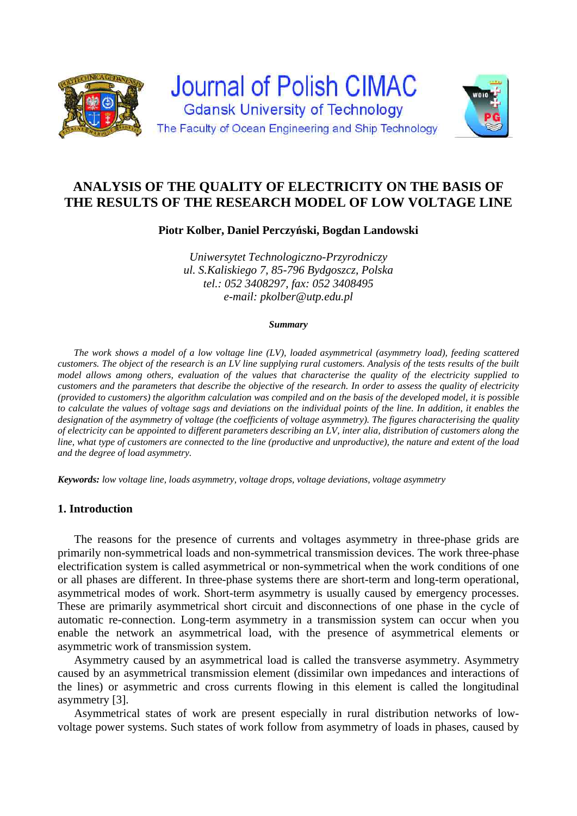

# **ANALYSIS OF THE QUALITY OF ELECTRICITY ON THE BASIS OF THE RESULTS OF THE RESEARCH MODEL OF LOW VOLTAGE LINE**

## **Piotr Kolber, Daniel Perczyński, Bogdan Landowski**

*Uniwersytet Technologiczno-Przyrodniczy ul. S.Kaliskiego 7, 85-796 Bydgoszcz, Polska tel.: 052 3408297, fax: 052 3408495 e-mail: pkolber@utp.edu.pl* 

#### *Summary*

*The work shows a model of a low voltage line (LV), loaded asymmetrical (asymmetry load), feeding scattered customers. The object of the research is an LV line supplying rural customers. Analysis of the tests results of the built model allows among others, evaluation of the values that characterise the quality of the electricity supplied to customers and the parameters that describe the objective of the research. In order to assess the quality of electricity (provided to customers) the algorithm calculation was compiled and on the basis of the developed model, it is possible to calculate the values of voltage sags and deviations on the individual points of the line. In addition, it enables the designation of the asymmetry of voltage (the coefficients of voltage asymmetry). The figures characterising the quality of electricity can be appointed to different parameters describing an LV, inter alia, distribution of customers along the line, what type of customers are connected to the line (productive and unproductive), the nature and extent of the load and the degree of load asymmetry.* 

*Keywords: low voltage line, loads asymmetry, voltage drops, voltage deviations, voltage asymmetry* 

## **1. Introduction**

The reasons for the presence of currents and voltages asymmetry in three-phase grids are primarily non-symmetrical loads and non-symmetrical transmission devices. The work three-phase electrification system is called asymmetrical or non-symmetrical when the work conditions of one or all phases are different. In three-phase systems there are short-term and long-term operational, asymmetrical modes of work. Short-term asymmetry is usually caused by emergency processes. These are primarily asymmetrical short circuit and disconnections of one phase in the cycle of automatic re-connection. Long-term asymmetry in a transmission system can occur when you enable the network an asymmetrical load, with the presence of asymmetrical elements or asymmetric work of transmission system.

Asymmetry caused by an asymmetrical load is called the transverse asymmetry. Asymmetry caused by an asymmetrical transmission element (dissimilar own impedances and interactions of the lines) or asymmetric and cross currents flowing in this element is called the longitudinal asymmetry [3].

Asymmetrical states of work are present especially in rural distribution networks of lowvoltage power systems. Such states of work follow from asymmetry of loads in phases, caused by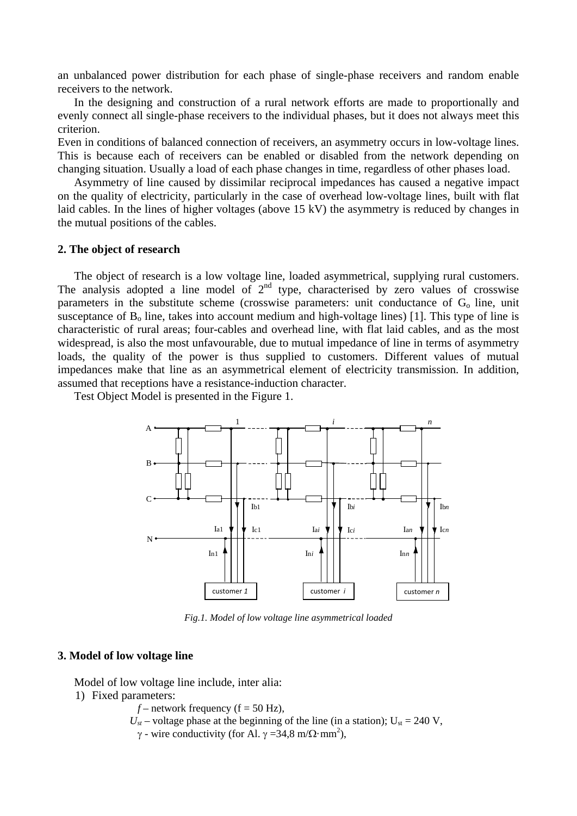an unbalanced power distribution for each phase of single-phase receivers and random enable receivers to the network.

In the designing and construction of a rural network efforts are made to proportionally and evenly connect all single-phase receivers to the individual phases, but it does not always meet this criterion.

Even in conditions of balanced connection of receivers, an asymmetry occurs in low-voltage lines. This is because each of receivers can be enabled or disabled from the network depending on changing situation. Usually a load of each phase changes in time, regardless of other phases load.

Asymmetry of line caused by dissimilar reciprocal impedances has caused a negative impact on the quality of electricity, particularly in the case of overhead low-voltage lines, built with flat laid cables. In the lines of higher voltages (above 15 kV) the asymmetry is reduced by changes in the mutual positions of the cables.

### **2. The object of research**

The object of research is a low voltage line, loaded asymmetrical, supplying rural customers. The analysis adopted a line model of  $2<sup>nd</sup>$  type, characterised by zero values of crosswise parameters in the substitute scheme (crosswise parameters: unit conductance of  $G_0$  line, unit susceptance of  $B_0$  line, takes into account medium and high-voltage lines) [1]. This type of line is characteristic of rural areas; four-cables and overhead line, with flat laid cables, and as the most widespread, is also the most unfavourable, due to mutual impedance of line in terms of asymmetry loads, the quality of the power is thus supplied to customers. Different values of mutual impedances make that line as an asymmetrical element of electricity transmission. In addition, assumed that receptions have a resistance-induction character.

Test Object Model is presented in the Figure 1.



*Fig.1. Model of low voltage line asymmetrical loaded* 

#### **3. Model of low voltage line**

Model of low voltage line include, inter alia:

- 1) Fixed parameters:
	- $f$  network frequency ( $f = 50$  Hz),
	- $U_{st}$  voltage phase at the beginning of the line (in a station);  $U_{st}$  = 240 V,

 $\gamma$  - wire conductivity (for Al.  $\gamma = 34.8 \text{ m}/\Omega \cdot \text{mm}^2$ ),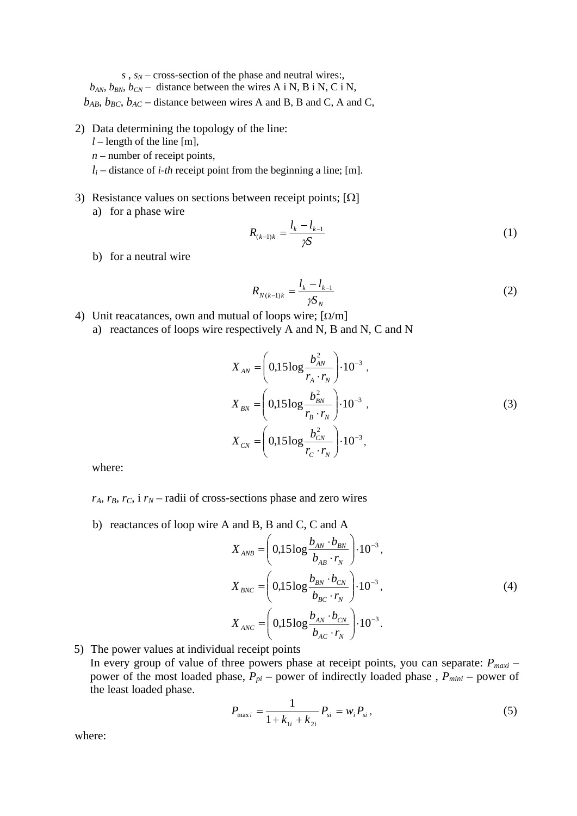$s, s_N$  – cross-section of the phase and neutral wires:

 $b_{AN}$ ,  $b_{BN}$ ,  $b_{CN}$  – distance between the wires A i N, B i N, C i N,

 $b_{AB}$ ,  $b_{BC}$ ,  $b_{AC}$  – distance between wires A and B, B and C, A and C,

- 2) Data determining the topology of the line:
	- $l$  length of the line [m],
	- *n* number of receipt points,
	- $l_i$  distance of *i-th* receipt point from the beginning a line; [m].
- 3) Resistance values on sections between receipt points;  $[\Omega]$ 
	- a) for a phase wire

$$
R_{(k-1)k} = \frac{l_k - l_{k-1}}{\gamma S} \tag{1}
$$

b) for a neutral wire

$$
R_{N(k-1)k} = \frac{l_k - l_{k-1}}{\gamma S_N} \tag{2}
$$

- 4) Unit reacatances, own and mutual of loops wire;  $\lceil \Omega/m \rceil$ 
	- a) reactances of loops wire respectively A and N, B and N, C and N

$$
X_{AN} = \left(0,15\log\frac{b_{AN}^2}{r_A \cdot r_N}\right) \cdot 10^{-3},
$$
  
\n
$$
X_{BN} = \left(0,15\log\frac{b_{BN}^2}{r_B \cdot r_N}\right) \cdot 10^{-3},
$$
  
\n
$$
X_{CN} = \left(0,15\log\frac{b_{CN}^2}{r_C \cdot r_N}\right) \cdot 10^{-3},
$$
  
\n(3)

where:

 $r_A$ ,  $r_B$ ,  $r_C$ , i  $r_N$  – radii of cross-sections phase and zero wires

b) reactances of loop wire A and B, B and C, C and A

$$
X_{ANB} = \left(0,15\log\frac{b_{AN} \cdot b_{BN}}{b_{AB} \cdot r_N}\right) \cdot 10^{-3},
$$
  

$$
X_{BNC} = \left(0,15\log\frac{b_{BN} \cdot b_{CN}}{b_{BC} \cdot r_N}\right) \cdot 10^{-3},
$$
  

$$
X_{ANC} = \left(0,15\log\frac{b_{AN} \cdot b_{CN}}{b_{AC} \cdot r_N}\right) \cdot 10^{-3}.
$$
 (4)

5) The power values at individual receipt points

In every group of value of three powers phase at receipt points, you can separate: *Pmaxi* – power of the most loaded phase,  $P_{pi}$  – power of indirectly loaded phase,  $P_{min}$  – power of the least loaded phase.

$$
P_{\max i} = \frac{1}{1 + k_{1i} + k_{2i}} P_{si} = w_i P_{si},
$$
\n(5)

where: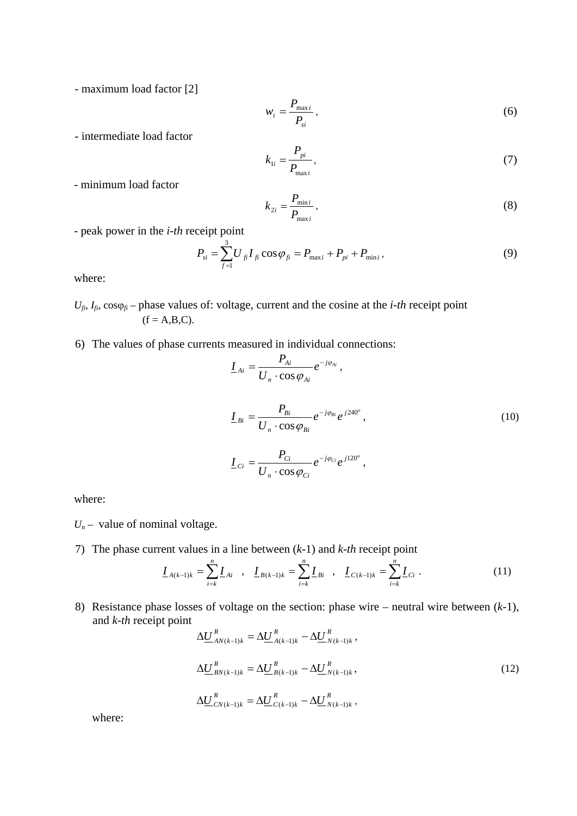- maximum load factor [2]

$$
w_i = \frac{P_{\text{max }i}}{P_{si}},\tag{6}
$$

- intermediate load factor

$$
k_{1i} = \frac{P_{pi}}{P_{\text{max }i}},\tag{7}
$$

- minimum load factor

$$
k_{2i} = \frac{P_{\min i}}{P_{\max i}}\,,\tag{8}
$$

- peak power in the *i-th* receipt point

$$
P_{si} = \sum_{f=1}^{3} U_{fi} I_{fi} \cos \varphi_{fi} = P_{\text{max }i} + P_{pi} + P_{\text{min }i}, \qquad (9)
$$

where:

- $U_{fi}$ ,  $I_{fi}$ ,  $\cos\varphi_f$  phase values of: voltage, current and the cosine at the *i-th* receipt point  $(f = A,B,C)$ .
- 6) The values of phase currents measured in individual connections:

$$
\underline{I}_{Ai} = \frac{P_{Ai}}{U_n \cdot \cos \varphi_{Ai}} e^{-j\varphi_{Ai}},
$$
\n
$$
\underline{I}_{Bi} = \frac{P_{Bi}}{U_n \cdot \cos \varphi_{Bi}} e^{-j\varphi_{Bi}} e^{j240^\circ},
$$
\n
$$
\underline{I}_{Ci} = \frac{P_{Ci}}{U_n \cdot \cos \varphi_{Ci}} e^{-j\varphi_{Ci}} e^{j120^\circ},
$$
\n(10)

where:

- $U_n$  value of nominal voltage.
- 7) The phase current values in a line between (*k*-1) and *k-th* receipt point

$$
\underline{I}_{A(k-1)k} = \sum_{i=k}^{n} \underline{I}_{Ai} \quad , \quad \underline{I}_{B(k-1)k} = \sum_{i=k}^{n} \underline{I}_{Bi} \quad , \quad \underline{I}_{C(k-1)k} = \sum_{i=k}^{n} \underline{I}_{Ci} \quad . \tag{11}
$$

8) Resistance phase losses of voltage on the section: phase wire – neutral wire between (*k*-1), and *k*-*th* receipt point

$$
\Delta \underline{U}_{AN(k-1)k}^{R} = \Delta \underline{U}_{A(k-1)k}^{R} - \Delta \underline{U}_{N(k-1)k}^{R},
$$
\n
$$
\Delta \underline{U}_{BN(k-1)k}^{R} = \Delta \underline{U}_{B(k-1)k}^{R} - \Delta \underline{U}_{N(k-1)k}^{R},
$$
\n
$$
\Delta \underline{U}_{CN(k-1)k}^{R} = \Delta \underline{U}_{C(k-1)k}^{R} - \Delta \underline{U}_{N(k-1)k}^{R},
$$
\n(12)

where: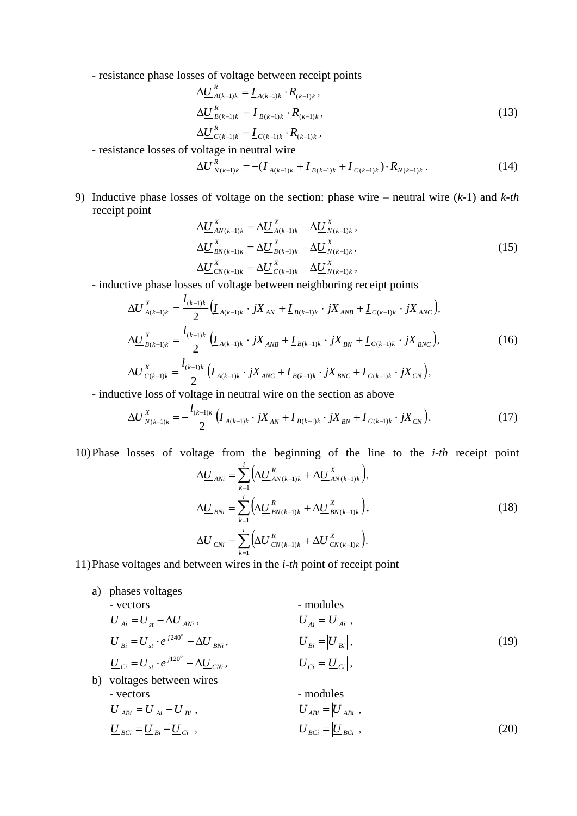- resistance phase losses of voltage between receipt points

$$
\Delta \underline{U}_{A(k-1)k}^{R} = \underline{I}_{A(k-1)k} \cdot R_{(k-1)k},
$$
\n
$$
\Delta \underline{U}_{B(k-1)k}^{R} = \underline{I}_{B(k-1)k} \cdot R_{(k-1)k},
$$
\n
$$
\Delta \underline{U}_{C(k-1)k}^{R} = \underline{I}_{C(k-1)k} \cdot R_{(k-1)k},
$$
\n(13)

- resistance losses of voltage in neutral wire

$$
\Delta \underline{U}_{N(k-1)k}^{R} = -(\underline{I}_{A(k-1)k} + \underline{I}_{B(k-1)k} + \underline{I}_{C(k-1)k}) \cdot R_{N(k-1)k} \,. \tag{14}
$$

9) Inductive phase losses of voltage on the section: phase wire – neutral wire (*k*-1) and *k-th* receipt point

 $C(k-1)k$   $\mathbf{A}(k-1)k$ 

$$
\Delta \underline{U}_{AN(k-1)k}^{X} = \Delta \underline{U}_{A(k-1)k}^{X} - \Delta \underline{U}_{N(k-1)k}^{X}, \n\Delta \underline{U}_{BN(k-1)k}^{X} = \Delta \underline{U}_{B(k-1)k}^{X} - \Delta \underline{U}_{N(k-1)k}^{X}, \n\Delta \underline{U}_{CN(k-1)k}^{X} = \Delta \underline{U}_{C(k-1)k}^{X} - \Delta \underline{U}_{N(k-1)k}^{X},
$$
\n(15)

- inductive phase losses of voltage between neighboring receipt points

$$
\Delta \underline{U}_{A(k-1)k}^{X} = \frac{l_{(k-1)k}}{2} \Big( \underline{I}_{A(k-1)k} \cdot jX_{AN} + \underline{I}_{B(k-1)k} \cdot jX_{ANB} + \underline{I}_{C(k-1)k} \cdot jX_{ANC} \Big),
$$
  
\n
$$
\Delta \underline{U}_{B(k-1)k}^{X} = \frac{l_{(k-1)k}}{2} \Big( \underline{I}_{A(k-1)k} \cdot jX_{ANB} + \underline{I}_{B(k-1)k} \cdot jX_{BN} + \underline{I}_{C(k-1)k} \cdot jX_{BNC} \Big),
$$
  
\n
$$
\Delta \underline{U}_{C(k-1)k}^{X} = \frac{l_{(k-1)k}}{2} \Big( \underline{I}_{A(k-1)k} \cdot jX_{ANC} + \underline{I}_{B(k-1)k} \cdot jX_{BNC} + \underline{I}_{C(k-1)k} \cdot jX_{CN} \Big),
$$
\n(16)

- inductive loss of voltage in neutral wire on the section as above

$$
\Delta \underline{U}_{N(k-1)k}^{X} = -\frac{l_{(k-1)k}}{2} \Big( \underline{L}_{A(k-1)k} \cdot jX_{AN} + \underline{L}_{B(k-1)k} \cdot jX_{BN} + \underline{L}_{C(k-1)k} \cdot jX_{CN} \Big). \tag{17}
$$

10)Phase losses of voltage from the beginning of the line to the *i-th* receipt point

$$
\Delta \underline{U}_{\text{AN}i} = \sum_{k=1}^{i} \Big( \Delta \underline{U}_{\text{AN}(k-1)k}^{R} + \Delta \underline{U}_{\text{AN}(k-1)k}^{X} \Big),
$$
\n
$$
\Delta \underline{U}_{\text{BN}i} = \sum_{k=1}^{i} \Big( \Delta \underline{U}_{\text{BN}(k-1)k}^{R} + \Delta \underline{U}_{\text{BN}(k-1)k}^{X} \Big),
$$
\n
$$
\Delta \underline{U}_{\text{CN}i} = \sum_{k=1}^{i} \Big( \Delta \underline{U}_{\text{CN}(k-1)k}^{R} + \Delta \underline{U}_{\text{CN}(k-1)k}^{X} \Big).
$$
\n(18)

11)Phase voltages and between wires in the *i-th* point of receipt point

a) phases voltages  
\n- vectors  
\n
$$
\underline{U}_{Ai} = U_{st} - \Delta \underline{U}_{ANi},
$$
\n
$$
\underline{U}_{Bi} = U_{st} \cdot e^{j240^o} - \Delta \underline{U}_{BNi},
$$
\n
$$
\underline{U}_{Ci} = U_{st} \cdot e^{j120^o} - \Delta \underline{U}_{CNi},
$$
\n
$$
\underline{U}_{Ci} = U_{st} \cdot e^{j120^o} - \Delta \underline{U}_{CNi},
$$
\n
$$
\underline{U}_{Ci} = |\underline{U}_{Ci}|,
$$
\n
$$
\underline{U}_{ABi} = |\underline{U}_{Ai}|,
$$
\n(19)  
\nvoltages between wires  
\n- modules  
\n
$$
\underline{U}_{ABi} = \underline{U}_{Ai} - \underline{U}_{Bi},
$$
\n
$$
\underline{U}_{BCi} = |\underline{U}_{ABi}|,
$$
\n
$$
\underline{U}_{BCi} = |\underline{U}_{Bci}|,
$$
\n(20)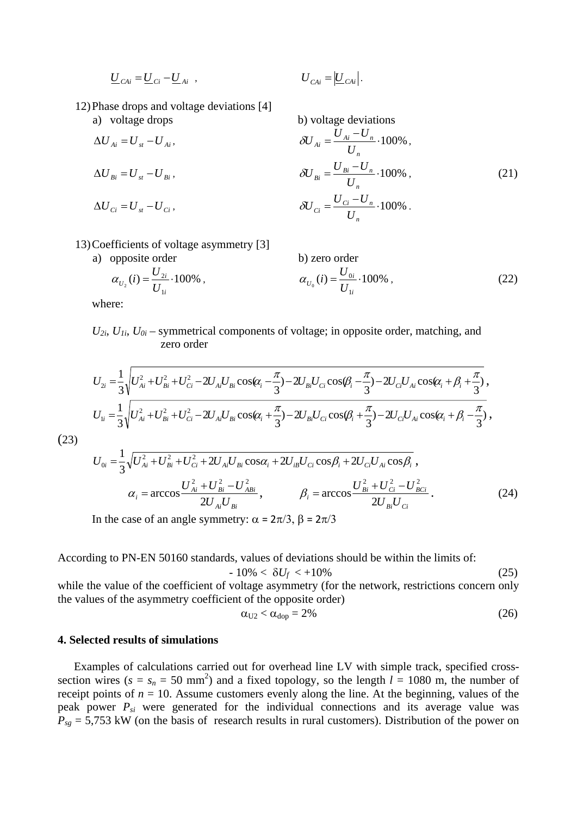$$
\underline{U}_{CAi} = \underline{U}_{Ci} - \underline{U}_{Ai} \ , \qquad \qquad \underline{U}_{CAi} = \underline{U}_{CAi}.
$$

$$
U_{CAi} = \left| \underline{U}_{CAi} \right|.
$$

12)Phase drops and voltage deviations [4]

a) voltage drops b) voltage deviations

$$
\Delta U_{Ai} = U_{st} - U_{Ai}, \qquad \qquad \partial U_{Ai} = \frac{U_{Ai} - U_{n}}{U_{n}} \cdot 100\%,
$$
\n
$$
\Delta U_{Bi} = U_{st} - U_{Bi}, \qquad \qquad \partial U_{Bi} = \frac{U_{Bi} - U_{n}}{U_{n}} \cdot 100\%,
$$
\n
$$
\Delta U_{Ci} = U_{st} - U_{Ci}, \qquad \qquad \partial U_{Ci} = \frac{U_{Ci} - U_{n}}{U_{n}} \cdot 100\% \,.
$$
\n(21)

13)Coefficients of voltage asymmetry [3]

a) opposite order  
\n
$$
\alpha_{U_2}(i) = \frac{U_{2i}}{U_{1i}} \cdot 100\%
$$
,\n
$$
\alpha_{U_0}(i) = \frac{U_{0i}}{U_{1i}} \cdot 100\%
$$
\n(22)

where:

 $U_{2i}$ ,  $U_{1i}$ ,  $U_{0i}$  – symmetrical components of voltage; in opposite order, matching, and zero order

$$
U_{2i} = \frac{1}{3} \sqrt{U_{Ai}^2 + U_{Bi}^2 + U_{Ci}^2 - 2U_{Ai}U_{Bi}\cos(\alpha_i - \frac{\pi}{3}) - 2U_{Bi}U_{Ci}\cos(\beta_i - \frac{\pi}{3}) - 2U_{ci}U_{Ai}\cos(\alpha_i + \beta_i + \frac{\pi}{3})},
$$
  
\n
$$
U_{1i} = \frac{1}{3} \sqrt{U_{Ai}^2 + U_{Bi}^2 + U_{Ci}^2 - 2U_{Ai}U_{Bi}\cos(\alpha_i + \frac{\pi}{3}) - 2U_{Bi}U_{Ci}\cos(\beta_i + \frac{\pi}{3}) - 2U_{ci}U_{Ai}\cos(\alpha_i + \beta_i - \frac{\pi}{3})},
$$

(23)

$$
U_{0i} = \frac{1}{3} \sqrt{U_{Ai}^2 + U_{Bi}^2 + U_{Ci}^2 + 2U_{Ai}U_{Bi}\cos\alpha_i + 2U_{ib}U_{Ci}\cos\beta_i + 2U_{ci}U_{Ai}\cos\beta_i},
$$
  
\n
$$
\alpha_i = \arccos \frac{U_{Ai}^2 + U_{Bi}^2 - U_{ABi}^2}{2U_{Ai}U_{Bi}},
$$
  
\n
$$
\beta_i = \arccos \frac{U_{Bi}^2 + U_{Ci}^2 - U_{BCi}^2}{2U_{Bi}U_{Ci}}.
$$
  
\n(24)

In the case of an angle symmetry:  $\alpha = 2\pi/3$ ,  $\beta = 2\pi/3$ 

According to PN-EN 50160 standards, values of deviations should be within the limits of:

$$
-10\% < \delta U_f < +10\% \tag{25}
$$

while the value of the coefficient of voltage asymmetry (for the network, restrictions concern only the values of the asymmetry coefficient of the opposite order)

$$
\alpha_{U2} < \alpha_{\text{dop}} = 2\% \tag{26}
$$

### **4. Selected results of simulations**

Examples of calculations carried out for overhead line LV with simple track, specified crosssection wires ( $s = s_n = 50$  mm<sup>2</sup>) and a fixed topology, so the length  $l = 1080$  m, the number of receipt points of  $n = 10$ . Assume customers evenly along the line. At the beginning, values of the peak power *Psi* were generated for the individual connections and its average value was  $P_{sg} = 5,753$  kW (on the basis of research results in rural customers). Distribution of the power on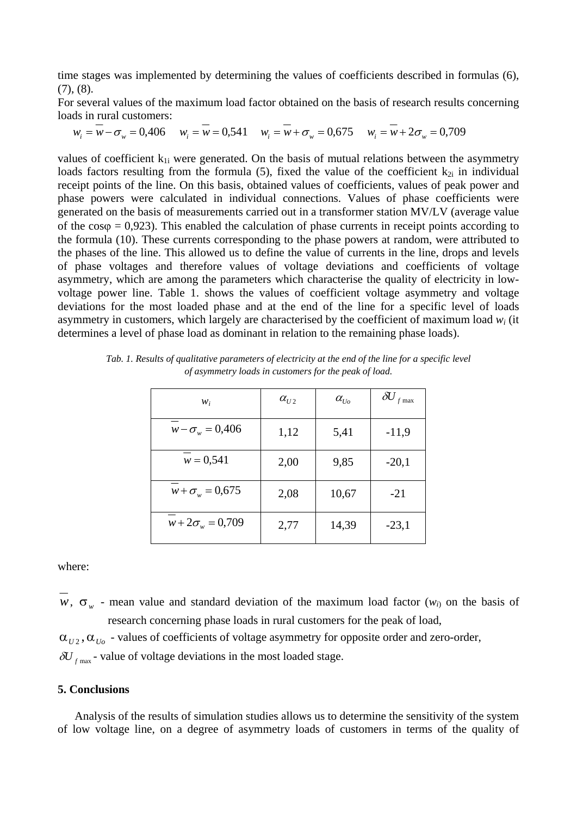time stages was implemented by determining the values of coefficients described in formulas (6),  $(7), (8)$ .

For several values of the maximum load factor obtained on the basis of research results concerning loads in rural customers:

 $w_i = w - \sigma_w = 0,406$ ,  $w_i = w = 0,541$ ,  $w_i = w + \sigma_w = 0,675$ ,  $w_i = w + 2\sigma_w = 0,709$ 

values of coefficient  $k_{1i}$  were generated. On the basis of mutual relations between the asymmetry loads factors resulting from the formula (5), fixed the value of the coefficient  $k_{2i}$  in individual receipt points of the line. On this basis, obtained values of coefficients, values of peak power and phase powers were calculated in individual connections. Values of phase coefficients were generated on the basis of measurements carried out in a transformer station MV/LV (average value of the  $cos\varphi = 0.923$ . This enabled the calculation of phase currents in receipt points according to the formula (10). These currents corresponding to the phase powers at random, were attributed to the phases of the line. This allowed us to define the value of currents in the line, drops and levels of phase voltages and therefore values of voltage deviations and coefficients of voltage asymmetry, which are among the parameters which characterise the quality of electricity in lowvoltage power line. Table 1. shows the values of coefficient voltage asymmetry and voltage deviations for the most loaded phase and at the end of the line for a specific level of loads asymmetry in customers, which largely are characterised by the coefficient of maximum load  $w_i$  (it determines a level of phase load as dominant in relation to the remaining phase loads).

| $W_i$                  | $\alpha_{U2}$ | $\alpha_{_{Uo}}$ | $\delta\!U_{f\max}$ |
|------------------------|---------------|------------------|---------------------|
| $w - \sigma_w = 0,406$ | 1,12          | 5,41             | $-11,9$             |
| $w = 0,541$            | 2,00          | 9,85             | $-20,1$             |
| $w + \sigma_w = 0.675$ | 2,08          | 10,67            | $-21$               |
| $w+2\sigma_w = 0,709$  | 2,77          | 14,39            | $-23,1$             |

*Tab. 1. Results of qualitative parameters of electricity at the end of the line for a specific level of asymmetry loads in customers for the peak of load.* 

where:

 $w$ ,  $\sigma_{w}$  - mean value and standard deviation of the maximum load factor ( $w_{i}$ ) on the basis of research concerning phase loads in rural customers for the peak of load,

 $\alpha_{U2}$ ,  $\alpha_{U0}$  - values of coefficients of voltage asymmetry for opposite order and zero-order,

 $\delta U_{f_{\text{max}}}$  - value of voltage deviations in the most loaded stage.

## **5. Conclusions**

Analysis of the results of simulation studies allows us to determine the sensitivity of the system of low voltage line, on a degree of asymmetry loads of customers in terms of the quality of